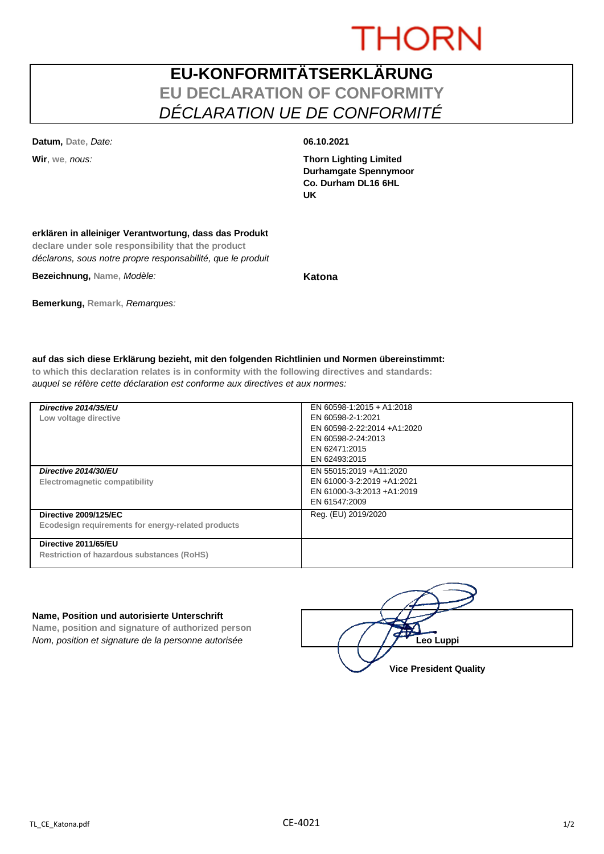# **THORN**

## **EU-KONFORMITÄTSERKLÄRUNG EU DECLARATION OF CONFORMITY** *DÉCLARATION UE DE CONFORMITÉ*

**Datum, Date,** *Date:* **06.10.2021**

**Wir**, **we**, *nous:* **Thorn Lighting Limited Durhamgate Spennymoor Co. Durham DL16 6HL UK**

### **erklären in alleiniger Verantwortung, dass das Produkt**

**declare under sole responsibility that the product** *déclarons, sous notre propre responsabilité, que le produit*

**Bezeichnung, Name,** *Modèle:* **Katona**

**Bemerkung, Remark,** *Remarques:*

**auf das sich diese Erklärung bezieht, mit den folgenden Richtlinien und Normen übereinstimmt: to which this declaration relates is in conformity with the following directives and standards:**

*auquel se réfère cette déclaration est conforme aux directives et aux normes:*

| Directive 2014/35/EU<br>Low voltage directive                                      | EN 60598-1:2015 + A1:2018<br>EN 60598-2-1:2021<br>EN 60598-2-22:2014 +A1:2020<br>EN 60598-2-24:2013<br>EN 62471:2015<br>EN 62493:2015 |
|------------------------------------------------------------------------------------|---------------------------------------------------------------------------------------------------------------------------------------|
| Directive 2014/30/EU<br>Electromagnetic compatibility                              | EN 55015:2019 +A11:2020<br>EN 61000-3-2:2019 +A1:2021<br>EN 61000-3-3:2013 +A1:2019<br>EN 61547:2009                                  |
| <b>Directive 2009/125/EC</b><br>Ecodesign requirements for energy-related products | Reg. (EU) 2019/2020                                                                                                                   |
| Directive 2011/65/EU<br><b>Restriction of hazardous substances (RoHS)</b>          |                                                                                                                                       |

### **Name, Position und autorisierte Unterschrift**

**Name, position and signature of authorized person** *Nom, position et signature de la personne autorisée* 

| Leo Luppi                     |
|-------------------------------|
| <b>Vice President Quality</b> |